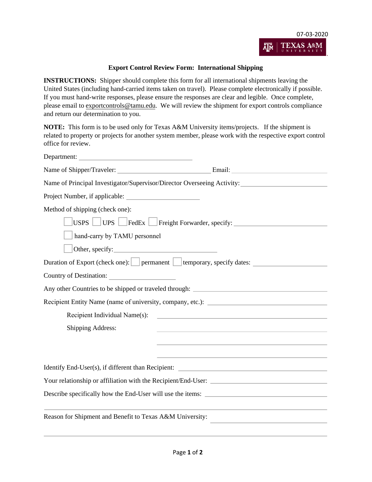

## **Export Control Review Form: International Shipping**

**INSTRUCTIONS:** Shipper should complete this form for all international shipments leaving the United States (including hand-carried items taken on travel). Please complete electronically if possible. If you must hand-write responses, please ensure the responses are clear and legible. Once complete, please email to [exportcontrols@tamu.edu.](mailto:exportcontrols@tamu.edu) We will review the shipment for export controls compliance and return our determination to you.

**NOTE:** This form is to be used only for Texas A&M University items/projects. If the shipment is related to property or projects for another system member, please work with the respective export control office for review.

| Department:                                                                                                           |  |  |  |  |
|-----------------------------------------------------------------------------------------------------------------------|--|--|--|--|
|                                                                                                                       |  |  |  |  |
| Name of Principal Investigator/Supervisor/Director Overseeing Activity:                                               |  |  |  |  |
|                                                                                                                       |  |  |  |  |
| Method of shipping (check one):                                                                                       |  |  |  |  |
| USPS UPS FedEx Freight Forwarder, specify:                                                                            |  |  |  |  |
| hand-carry by TAMU personnel                                                                                          |  |  |  |  |
| Other, specify:                                                                                                       |  |  |  |  |
|                                                                                                                       |  |  |  |  |
|                                                                                                                       |  |  |  |  |
| Any other Countries to be shipped or traveled through:                                                                |  |  |  |  |
| Recipient Entity Name (name of university, company, etc.): ______________________                                     |  |  |  |  |
| Recipient Individual Name(s):<br>the control of the control of the control of the control of the control of           |  |  |  |  |
| <b>Shipping Address:</b><br>the control of the control of the control of the control of the control of the control of |  |  |  |  |
|                                                                                                                       |  |  |  |  |
|                                                                                                                       |  |  |  |  |
| Identify End-User(s), if different than Recipient:                                                                    |  |  |  |  |
| Your relationship or affiliation with the Recipient/End-User:                                                         |  |  |  |  |
| Describe specifically how the End-User will use the items:                                                            |  |  |  |  |
|                                                                                                                       |  |  |  |  |
| Reason for Shipment and Benefit to Texas A&M University:                                                              |  |  |  |  |